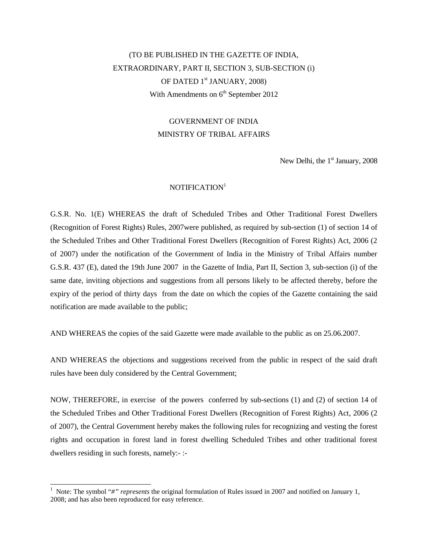# (TO BE PUBLISHED IN THE GAZETTE OF INDIA, EXTRAORDINARY, PART II, SECTION 3, SUB-SECTION (i) OF DATED 1<sup>st</sup> JANUARY, 2008) With Amendments on  $6<sup>th</sup>$  September 2012

# GOVERNMENT OF INDIA MINISTRY OF TRIBAL AFFAIRS

New Delhi, the  $1<sup>st</sup>$  January, 2008

## NOTIFICATION<sup>1</sup>

G.S.R. No. 1(E) WHEREAS the draft of Scheduled Tribes and Other Traditional Forest Dwellers (Recognition of Forest Rights) Rules, 2007were published, as required by sub-section (1) of section 14 of the Scheduled Tribes and Other Traditional Forest Dwellers (Recognition of Forest Rights) Act, 2006 (2 of 2007) under the notification of the Government of India in the Ministry of Tribal Affairs number G.S.R. 437 (E), dated the 19th June 2007 in the Gazette of India, Part II, Section 3, sub-section (i) of the same date, inviting objections and suggestions from all persons likely to be affected thereby, before the expiry of the period of thirty days from the date on which the copies of the Gazette containing the said notification are made available to the public;

AND WHEREAS the copies of the said Gazette were made available to the public as on 25.06.2007.

AND WHEREAS the objections and suggestions received from the public in respect of the said draft rules have been duly considered by the Central Government;

NOW, THEREFORE, in exercise of the powers conferred by sub-sections (1) and (2) of section 14 of the Scheduled Tribes and Other Traditional Forest Dwellers (Recognition of Forest Rights) Act, 2006 (2 of 2007), the Central Government hereby makes the following rules for recognizing and vesting the forest rights and occupation in forest land in forest dwelling Scheduled Tribes and other traditional forest dwellers residing in such forests, namely:- :-

<sup>&</sup>lt;sup>1</sup> Note: The symbol "#" *represents* the original formulation of Rules issued in 2007 and notified on January 1, 2008; and has also been reproduced for easy reference.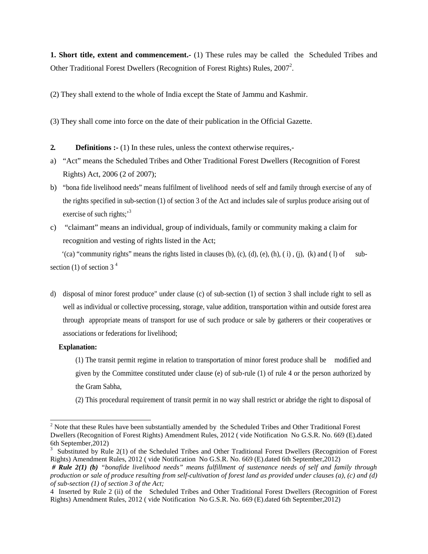**1. Short title, extent and commencement.**- (1) These rules may be called the Scheduled Tribes and Other Traditional Forest Dwellers (Recognition of Forest Rights) Rules, 2007<sup>2</sup>.

(2) They shall extend to the whole of India except the State of Jammu and Kashmir.

(3) They shall come into force on the date of their publication in the Official Gazette.

- **2. Definitions :-** (1) In these rules, unless the context otherwise requires,-
- a) "Act" means the Scheduled Tribes and Other Traditional Forest Dwellers (Recognition of Forest Rights) Act, 2006 (2 of 2007);
- b) "bona fide livelihood needs" means fulfilment of livelihood needs of self and family through exercise of any of the rights specified in sub-section (1) of section 3 of the Act and includes sale of surplus produce arising out of exercise of such rights: $3<sup>3</sup>$
- c) "claimant" means an individual, group of individuals, family or community making a claim for recognition and vesting of rights listed in the Act;

 $'(ca)$  "community rights" means the rights listed in clauses (b), (c), (d), (e), (h), (i), (j), (k) and (1) of subsection (1) of section  $3<sup>4</sup>$ 

d) disposal of minor forest produce" under clause (c) of sub-section (1) of section 3 shall include right to sell as well as individual or collective processing, storage, value addition, transportation within and outside forest area through appropriate means of transport for use of such produce or sale by gatherers or their cooperatives or associations or federations for livelihood;

#### **Explanation:**

(1) The transit permit regime in relation to transportation of minor forest produce shall be modified and given by the Committee constituted under clause (e) of sub-rule (1) of rule 4 or the person authorized by the Gram Sabha,

(2) This procedural requirement of transit permit in no way shall restrict or abridge the right to disposal of

<sup>&</sup>lt;sup>2</sup> Note that these Rules have been substantially amended by the Scheduled Tribes and Other Traditional Forest Dwellers (Recognition of Forest Rights) Amendment Rules, 2012 ( vide Notification No G.S.R. No. 669 (E).dated 6th September,2012)

 $3$  Substituted by Rule 2(1) of the Scheduled Tribes and Other Traditional Forest Dwellers (Recognition of Forest Rights) Amendment Rules, 2012 ( vide Notification No G.S.R. No. 669 (E).dated 6th September,2012)

*<sup>#</sup> Rule 2(1) (b) "bonafide livelihood needs" means fulfillment of sustenance needs of self and family through production or sale of produce resulting from self-cultivation of forest land as provided under clauses (a), (c) and (d) of sub-section (1) of section 3 of the Act;*

<sup>4</sup> Inserted by Rule 2 (ii) of the Scheduled Tribes and Other Traditional Forest Dwellers (Recognition of Forest Rights) Amendment Rules, 2012 ( vide Notification No G.S.R. No. 669 (E).dated 6th September,2012)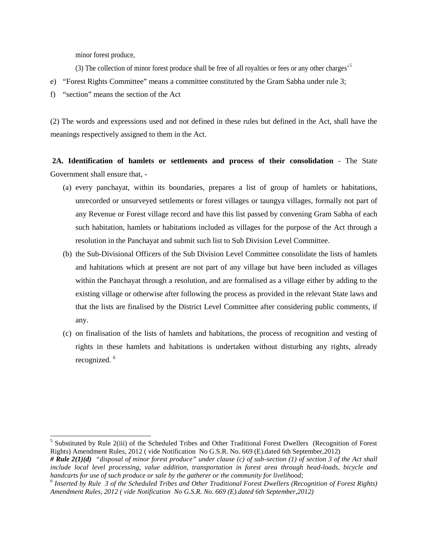minor forest produce,

(3) The collection of minor forest produce shall be free of all royalties or fees or any other charges'<sup>5</sup>

- e) "Forest Rights Committee" means a committee constituted by the Gram Sabha under rule 3;
- f) "section" means the section of the Act

(2) The words and expressions used and not defined in these rules but defined in the Act, shall have the meanings respectively assigned to them in the Act.

**2A. Identification of hamlets or settlements and process of their consolidation** - The State Government shall ensure that, -

- (a) every panchayat, within its boundaries, prepares a list of group of hamlets or habitations, unrecorded or unsurveyed settlements or forest villages or taungya villages, formally not part of any Revenue or Forest village record and have this list passed by convening Gram Sabha of each such habitation, hamlets or habitations included as villages for the purpose of the Act through a resolution in the Panchayat and submit such list to Sub Division Level Committee.
- (b) the Sub-Divisional Officers of the Sub Division Level Committee consolidate the lists of hamlets and habitations which at present are not part of any village but have been included as villages within the Panchayat through a resolution, and are formalised as a village either by adding to the existing village or otherwise after following the process as provided in the relevant State laws and that the lists are finalised by the District Level Committee after considering public comments, if any.
- (c) on finalisation of the lists of hamlets and habitations, the process of recognition and vesting of rights in these hamlets and habitations is undertaken without disturbing any rights, already recognized.<sup>6</sup>

<sup>&</sup>lt;sup>5</sup> Substituted by Rule 2(iii) of the Scheduled Tribes and Other Traditional Forest Dwellers (Recognition of Forest Rights) Amendment Rules, 2012 ( vide Notification No G.S.R. No. 669 (E).dated 6th September,2012)

*<sup>#</sup> Rule 2(1)(d) "disposal of minor forest produce" under clause (c) of sub-section (1) of section 3 of the Act shall include local level processing, value addition, transportation in forest area through head-loads, bicycle and handcarts for use of such produce or sale by the gatherer or the community for livelihood;*

<sup>6</sup> *Inserted by Rule 3 of the Scheduled Tribes and Other Traditional Forest Dwellers (Recognition of Forest Rights) Amendment Rules, 2012 ( vide Notification No G.S.R. No. 669 (E).dated 6th September,2012)*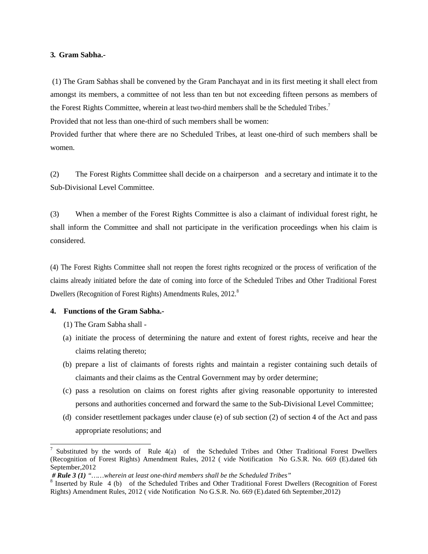#### **3. Gram Sabha.-**

(1) The Gram Sabhas shall be convened by the Gram Panchayat and in its first meeting it shall elect from amongst its members, a committee of not less than ten but not exceeding fifteen persons as members of the Forest Rights Committee, wherein at least two-third members shall be the Scheduled Tribes.<sup>7</sup>

Provided that not less than one-third of such members shall be women:

Provided further that where there are no Scheduled Tribes, at least one-third of such members shall be women.

(2) The Forest Rights Committee shall decide on a chairperson and a secretary and intimate it to the Sub-Divisional Level Committee.

(3) When a member of the Forest Rights Committee is also a claimant of individual forest right, he shall inform the Committee and shall not participate in the verification proceedings when his claim is considered.

(4) The Forest Rights Committee shall not reopen the forest rights recognized or the process of verification of the claims already initiated before the date of coming into force of the Scheduled Tribes and Other Traditional Forest Dwellers (Recognition of Forest Rights) Amendments Rules, 2012.<sup>8</sup>

# **4. Functions of the Gram Sabha.-**

- (1) The Gram Sabha shall -
- (a) initiate the process of determining the nature and extent of forest rights, receive and hear the claims relating thereto;
- (b) prepare a list of claimants of forests rights and maintain a register containing such details of claimants and their claims as the Central Government may by order determine;
- (c) pass a resolution on claims on forest rights after giving reasonable opportunity to interested persons and authorities concerned and forward the same to the Sub-Divisional Level Committee;
- (d) consider resettlement packages under clause (e) of sub section (2) of section 4 of the Act and pass appropriate resolutions; and

<sup>7</sup> Substituted by the words of Rule 4(a) of the Scheduled Tribes and Other Traditional Forest Dwellers (Recognition of Forest Rights) Amendment Rules, 2012 ( vide Notification No G.S.R. No. 669 (E).dated 6th September,2012

*<sup>#</sup> Rule 3 (1) "……wherein at least one-third members shall be the Scheduled Tribes"*

<sup>&</sup>lt;sup>8</sup> Inserted by Rule 4 (b) of the Scheduled Tribes and Other Traditional Forest Dwellers (Recognition of Forest Rights) Amendment Rules, 2012 ( vide Notification No G.S.R. No. 669 (E).dated 6th September,2012)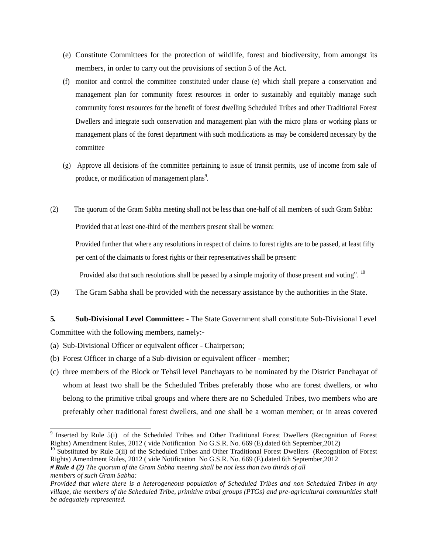- (e) Constitute Committees for the protection of wildlife, forest and biodiversity, from amongst its members, in order to carry out the provisions of section 5 of the Act.
- (f) monitor and control the committee constituted under clause (e) which shall prepare a conservation and management plan for community forest resources in order to sustainably and equitably manage such community forest resources for the benefit of forest dwelling Scheduled Tribes and other Traditional Forest Dwellers and integrate such conservation and management plan with the micro plans or working plans or management plans of the forest department with such modifications as may be considered necessary by the committee
- (g) Approve all decisions of the committee pertaining to issue of transit permits, use of income from sale of produce, or modification of management plans<sup>9</sup>.
- (2) The quorum of the Gram Sabha meeting shall not be less than one-half of all members of such Gram Sabha: Provided that at least one-third of the members present shall be women:

Provided further that where any resolutions in respect of claims to forest rights are to be passed, at least fifty per cent of the claimants to forest rights or their representatives shall be present:

Provided also that such resolutions shall be passed by a simple majority of those present and voting". <sup>10</sup>

(3) The Gram Sabha shall be provided with the necessary assistance by the authorities in the State.

**5. Sub-Divisional Level Committee: -** The State Government shall constitute Sub-Divisional Level Committee with the following members, namely:-

- (a) Sub-Divisional Officer or equivalent officer Chairperson;
- (b) Forest Officer in charge of a Sub-division or equivalent officer member;
- (c) three members of the Block or Tehsil level Panchayats to be nominated by the District Panchayat of whom at least two shall be the Scheduled Tribes preferably those who are forest dwellers, or who belong to the primitive tribal groups and where there are no Scheduled Tribes, two members who are preferably other traditional forest dwellers, and one shall be a woman member; or in areas covered

<sup>&</sup>lt;sup>9</sup> Inserted by Rule 5(i) of the Scheduled Tribes and Other Traditional Forest Dwellers (Recognition of Forest Rights) Amendment Rules, 2012 ( vide Notification No G.S.R. No. 669 (E).dated 6th September,2012)

 $10$  Substituted by Rule 5(ii) of the Scheduled Tribes and Other Traditional Forest Dwellers (Recognition of Forest Rights) Amendment Rules, 2012 ( vide Notification No G.S.R. No. 669 (E).dated 6th September,2012

*<sup>#</sup> Rule 4 (2) The quorum of the Gram Sabha meeting shall be not less than two thirds of all members of such Gram Sabha:*

*Provided that where there is a heterogeneous population of Scheduled Tribes and non Scheduled Tribes in any village, the members of the Scheduled Tribe, primitive tribal groups (PTGs) and pre-agricultural communities shall be adequately represented.*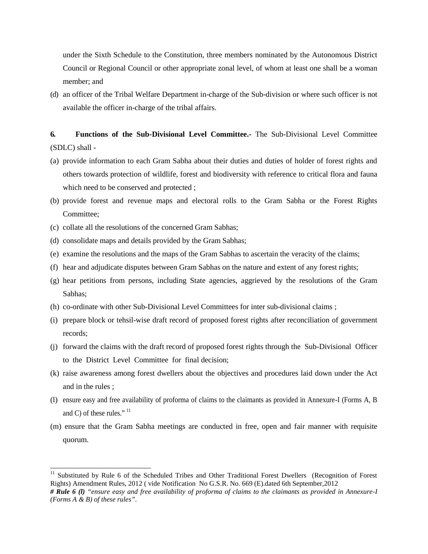under the Sixth Schedule to the Constitution, three members nominated by the Autonomous District Council or Regional Council or other appropriate zonal level, of whom at least one shall be a woman member; and

(d) an officer of the Tribal Welfare Department in-charge of the Sub-division or where such officer is not available the officer in-charge of the tribal affairs.

# **6. Functions of the Sub-Divisional Level Committee.-** The Sub-Divisional Level Committee (SDLC) shall -

- (a) provide information to each Gram Sabha about their duties and duties of holder of forest rights and others towards protection of wildlife, forest and biodiversity with reference to critical flora and fauna which need to be conserved and protected ;
- (b) provide forest and revenue maps and electoral rolls to the Gram Sabha or the Forest Rights Committee;
- (c) collate all the resolutions of the concerned Gram Sabhas;
- (d) consolidate maps and details provided by the Gram Sabhas;
- (e) examine the resolutions and the maps of the Gram Sabhas to ascertain the veracity of the claims;
- (f) hear and adjudicate disputes between Gram Sabhas on the nature and extent of any forest rights;
- (g) hear petitions from persons, including State agencies, aggrieved by the resolutions of the Gram Sabhas;
- (h) co-ordinate with other Sub-Divisional Level Committees for inter sub-divisional claims ;
- (i) prepare block or tehsil-wise draft record of proposed forest rights after reconciliation of government records;
- (j) forward the claims with the draft record of proposed forest rights through the Sub-Divisional Officer to the District Level Committee for final decision;
- (k) raise awareness among forest dwellers about the objectives and procedures laid down under the Act and in the rules ;
- (l) ensure easy and free availability of proforma of claims to the claimants as provided in Annexure-I (Forms A, B and C) of these rules." <sup>11</sup>
- (m) ensure that the Gram Sabha meetings are conducted in free, open and fair manner with requisite quorum.

<sup>&</sup>lt;sup>11</sup> Substituted by Rule 6 of the Scheduled Tribes and Other Traditional Forest Dwellers (Recognition of Forest Rights) Amendment Rules, 2012 ( vide Notification No G.S.R. No. 669 (E).dated 6th September,2012

*<sup>#</sup> Rule 6 (l) "ensure easy and free availability of proforma of claims to the claimants as provided in Annexure-I (Forms A & B) of these rules".*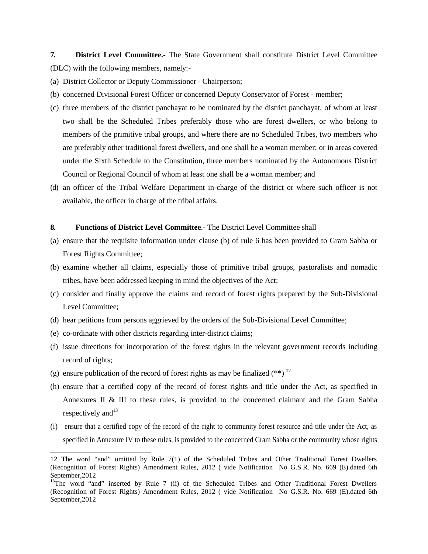**7. District Level Committee.-** The State Government shall constitute District Level Committee (DLC) with the following members, namely:-

(a) District Collector or Deputy Commissioner - Chairperson;

- (b) concerned Divisional Forest Officer or concerned Deputy Conservator of Forest member;
- (c) three members of the district panchayat to be nominated by the district panchayat, of whom at least two shall be the Scheduled Tribes preferably those who are forest dwellers, or who belong to members of the primitive tribal groups, and where there are no Scheduled Tribes, two members who are preferably other traditional forest dwellers, and one shall be a woman member; or in areas covered under the Sixth Schedule to the Constitution, three members nominated by the Autonomous District Council or Regional Council of whom at least one shall be a woman member; and
- (d) an officer of the Tribal Welfare Department in-charge of the district or where such officer is not available, the officer in charge of the tribal affairs.

#### **8. Functions of District Level Committee**.- The District Level Committee shall

- (a) ensure that the requisite information under clause (b) of rule 6 has been provided to Gram Sabha or Forest Rights Committee;
- (b) examine whether all claims, especially those of primitive tribal groups, pastoralists and nomadic tribes, have been addressed keeping in mind the objectives of the Act;
- (c) consider and finally approve the claims and record of forest rights prepared by the Sub-Divisional Level Committee;
- (d) hear petitions from persons aggrieved by the orders of the Sub-Divisional Level Committee;
- (e) co-ordinate with other districts regarding inter-district claims;
- (f) issue directions for incorporation of the forest rights in the relevant government records including record of rights;
- (g) ensure publication of the record of forest rights as may be finalized  $(**)$  <sup>12</sup>
- (h) ensure that a certified copy of the record of forest rights and title under the Act, as specified in Annexures II & III to these rules, is provided to the concerned claimant and the Gram Sabha respectively and  $13$
- (i) ensure that a certified copy of the record of the right to community forest resource and title under the Act, as specified in Annexure IV to these rules, is provided to the concerned Gram Sabha or the community whose rights

<sup>12</sup> The word "and" omitted by Rule 7(1) of the Scheduled Tribes and Other Traditional Forest Dwellers (Recognition of Forest Rights) Amendment Rules, 2012 ( vide Notification No G.S.R. No. 669 (E).dated 6th September,2012

<sup>&</sup>lt;sup>13</sup>The word "and" inserted by Rule 7 (ii) of the Scheduled Tribes and Other Traditional Forest Dwellers (Recognition of Forest Rights) Amendment Rules, 2012 ( vide Notification No G.S.R. No. 669 (E).dated 6th September,2012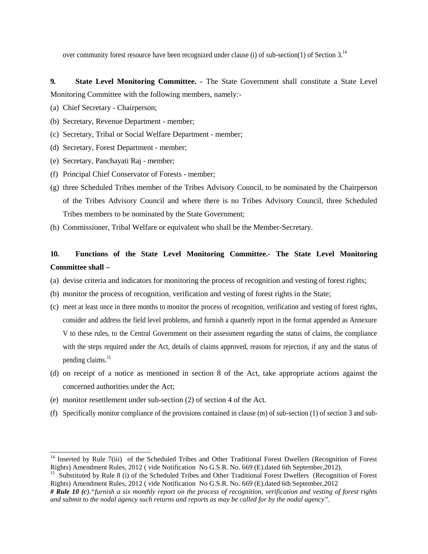over community forest resource have been recognized under clause (i) of sub-section(1) of Section 3.<sup>14</sup>

**9. State Level Monitoring Committee. -** The State Government shall constitute a State Level Monitoring Committee with the following members, namely:-

- (a) Chief Secretary Chairperson;
- (b) Secretary, Revenue Department member;
- (c) Secretary, Tribal or Social Welfare Department member;
- (d) Secretary, Forest Department member;
- (e) Secretary, Panchayati Raj member;
- (f) Principal Chief Conservator of Forests member;
- (g) three Scheduled Tribes member of the Tribes Advisory Council, to be nominated by the Chairperson of the Tribes Advisory Council and where there is no Tribes Advisory Council, three Scheduled Tribes members to be nominated by the State Government;
- (h) Commissioner, Tribal Welfare or equivalent who shall be the Member-Secretary.

# **10. Functions of the State Level Monitoring Committee.- The State Level Monitoring Committee shall –**

- (a) devise criteria and indicators for monitoring the process of recognition and vesting of forest rights;
- (b) monitor the process of recognition, verification and vesting of forest rights in the State;
- (c) meet at least once in three months to monitor the process of recognition, verification and vesting of forest rights, consider and address the field level problems, and furnish a quarterly report in the format appended as Annexure V to these rules, to the Central Government on their assessment regarding the status of claims, the compliance with the steps required under the Act, details of claims approved, reasons for rejection, if any and the status of pending claims.<sup>15</sup>
- (d) on receipt of a notice as mentioned in section 8 of the Act, take appropriate actions against the concerned authorities under the Act;
- (e) monitor resettlement under sub-section (2) of section 4 of the Act.
- (f) Specifically monitor compliance of the provisions contained in clause (m) of sub-section (1) of section 3 and sub-

<sup>&</sup>lt;sup>14</sup> Inserted by Rule 7(iii) of the Scheduled Tribes and Other Traditional Forest Dwellers (Recognition of Forest Rights) Amendment Rules, 2012 (vide Notification No G.S.R. No. 669 (E) dated 6th September, 2012).

<sup>&</sup>lt;sup>15</sup> Substituted by Rule 8 (i) of the Scheduled Tribes and Other Traditional Forest Dwellers (Recognition of Forest Rights) Amendment Rules, 2012 ( vide Notification No G.S.R. No. 669 (E).dated 6th September,2012

*<sup>#</sup> Rule 10 (c)."furnish a six monthly report on the process of recognition, verification and vesting of forest rights and submit to the nodal agency such returns and reports as may be called for by the nodal agency".*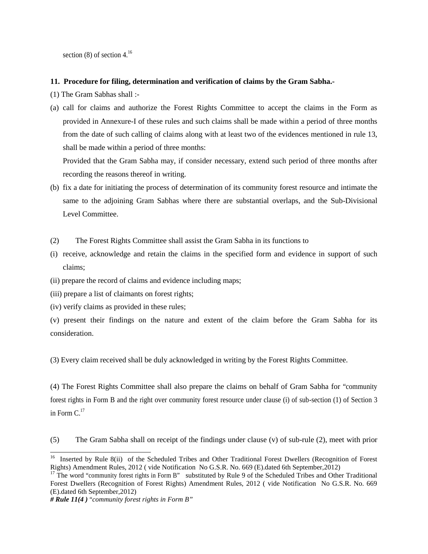section  $(8)$  of section 4.<sup>16</sup>

#### **11. Procedure for filing, determination and verification of claims by the Gram Sabha.-**

- (1) The Gram Sabhas shall :-
- (a) call for claims and authorize the Forest Rights Committee to accept the claims in the Form as provided in Annexure-I of these rules and such claims shall be made within a period of three months from the date of such calling of claims along with at least two of the evidences mentioned in rule 13, shall be made within a period of three months:

Provided that the Gram Sabha may, if consider necessary, extend such period of three months after recording the reasons thereof in writing.

- (b) fix a date for initiating the process of determination of its community forest resource and intimate the same to the adjoining Gram Sabhas where there are substantial overlaps, and the Sub-Divisional Level Committee.
- (2) The Forest Rights Committee shall assist the Gram Sabha in its functions to
- (i) receive, acknowledge and retain the claims in the specified form and evidence in support of such claims;
- (ii) prepare the record of claims and evidence including maps;
- (iii) prepare a list of claimants on forest rights;
- (iv) verify claims as provided in these rules;

(v) present their findings on the nature and extent of the claim before the Gram Sabha for its consideration.

(3) Every claim received shall be duly acknowledged in writing by the Forest Rights Committee.

(4) The Forest Rights Committee shall also prepare the claims on behalf of Gram Sabha for "community forest rights in Form B and the right over community forest resource under clause (i) of sub-section (1) of Section 3 in Form  $C<sup>17</sup>$ 

(5) The Gram Sabha shall on receipt of the findings under clause (v) of sub-rule (2), meet with prior

<sup>&</sup>lt;sup>16</sup> Inserted by Rule 8(ii) of the Scheduled Tribes and Other Traditional Forest Dwellers (Recognition of Forest Rights) Amendment Rules, 2012 ( vide Notification No G.S.R. No. 669 (E).dated 6th September,2012)

 $17$  The word "community forest rights in Form B" substituted by Rule 9 of the Scheduled Tribes and Other Traditional Forest Dwellers (Recognition of Forest Rights) Amendment Rules, 2012 ( vide Notification No G.S.R. No. 669 (E).dated 6th September,2012)

*<sup>#</sup> Rule 11(4 )* "*community forest rights in Form B"*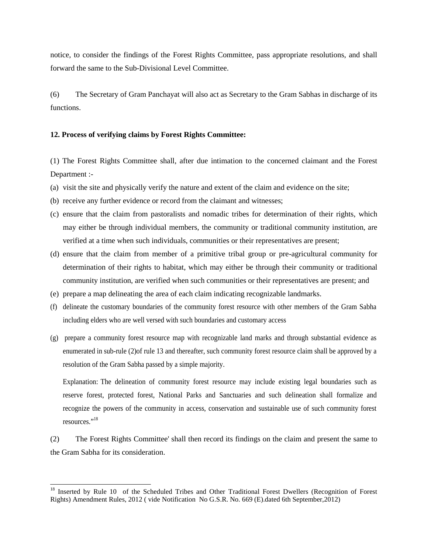notice, to consider the findings of the Forest Rights Committee, pass appropriate resolutions, and shall forward the same to the Sub-Divisional Level Committee.

(6) The Secretary of Gram Panchayat will also act as Secretary to the Gram Sabhas in discharge of its functions.

## **12. Process of verifying claims by Forest Rights Committee:**

(1) The Forest Rights Committee shall, after due intimation to the concerned claimant and the Forest Department :-

- (a) visit the site and physically verify the nature and extent of the claim and evidence on the site;
- (b) receive any further evidence or record from the claimant and witnesses;
- (c) ensure that the claim from pastoralists and nomadic tribes for determination of their rights, which may either be through individual members, the community or traditional community institution, are verified at a time when such individuals, communities or their representatives are present;
- (d) ensure that the claim from member of a primitive tribal group or pre-agricultural community for determination of their rights to habitat, which may either be through their community or traditional community institution, are verified when such communities or their representatives are present; and
- (e) prepare a map delineating the area of each claim indicating recognizable landmarks.
- (f) delineate the customary boundaries of the community forest resource with other members of the Gram Sabha including elders who are well versed with such boundaries and customary access
- (g) prepare a community forest resource map with recognizable land marks and through substantial evidence as enumerated in sub-rule (2)of rule 13 and thereafter, such community forest resource claim shall be approved by a resolution of the Gram Sabha passed by a simple majority.

Explanation: The delineation of community forest resource may include existing legal boundaries such as reserve forest, protected forest, National Parks and Sanctuaries and such delineation shall formalize and recognize the powers of the community in access, conservation and sustainable use of such community forest resources<sup>",18</sup>

(2) The Forest Rights Committee' shall then record its findings on the claim and present the same to the Gram Sabha for its consideration.

<sup>&</sup>lt;sup>18</sup> Inserted by Rule 10 of the Scheduled Tribes and Other Traditional Forest Dwellers (Recognition of Forest Rights) Amendment Rules, 2012 ( vide Notification No G.S.R. No. 669 (E).dated 6th September,2012)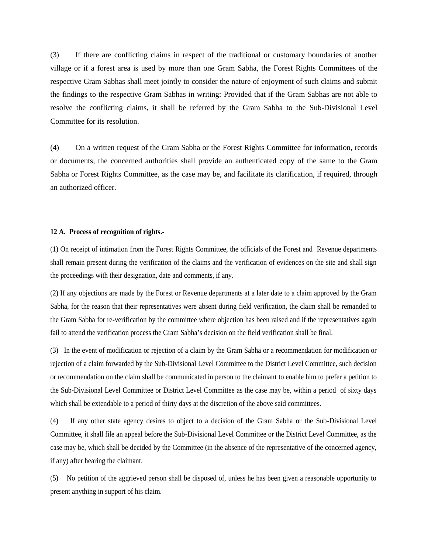(3) If there are conflicting claims in respect of the traditional or customary boundaries of another village or if a forest area is used by more than one Gram Sabha, the Forest Rights Committees of the respective Gram Sabhas shall meet jointly to consider the nature of enjoyment of such claims and submit the findings to the respective Gram Sabhas in writing: Provided that if the Gram Sabhas are not able to resolve the conflicting claims, it shall be referred by the Gram Sabha to the Sub-Divisional Level Committee for its resolution.

(4) On a written request of the Gram Sabha or the Forest Rights Committee for information, records or documents, the concerned authorities shall provide an authenticated copy of the same to the Gram Sabha or Forest Rights Committee, as the case may be, and facilitate its clarification, if required, through an authorized officer.

#### **12 A. Process of recognition of rights.-**

(1) On receipt of intimation from the Forest Rights Committee, the officials of the Forest and Revenue departments shall remain present during the verification of the claims and the verification of evidences on the site and shall sign the proceedings with their designation, date and comments, if any.

(2) If any objections are made by the Forest or Revenue departments at a later date to a claim approved by the Gram Sabha, for the reason that their representatives were absent during field verification, the claim shall be remanded to the Gram Sabha for re-verification by the committee where objection has been raised and if the representatives again fail to attend the verification process the Gram Sabha's decision on the field verification shall be final.

(3) In the event of modification or rejection of a claim by the Gram Sabha or a recommendation for modification or rejection of a claim forwarded by the Sub-Divisional Level Committee to the District Level Committee, such decision or recommendation on the claim shall be communicated in person to the claimant to enable him to prefer a petition to the Sub-Divisional Level Committee or District Level Committee as the case may be, within a period of sixty days which shall be extendable to a period of thirty days at the discretion of the above said committees.

(4) If any other state agency desires to object to a decision of the Gram Sabha or the Sub-Divisional Level Committee, it shall file an appeal before the Sub-Divisional Level Committee or the District Level Committee, as the case may be, which shall be decided by the Committee (in the absence of the representative of the concerned agency, if any) after hearing the claimant.

(5) No petition of the aggrieved person shall be disposed of, unless he has been given a reasonable opportunity to present anything in support of his claim.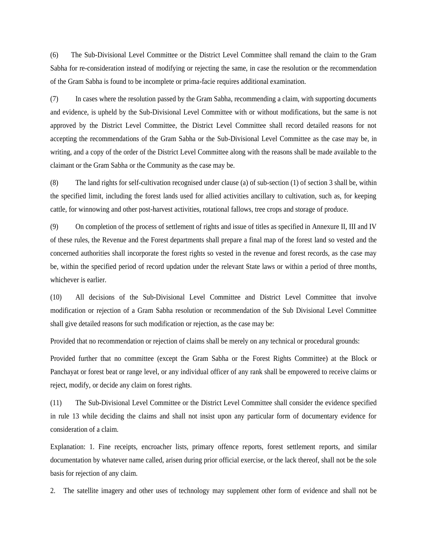(6) The Sub-Divisional Level Committee or the District Level Committee shall remand the claim to the Gram Sabha for re-consideration instead of modifying or rejecting the same, in case the resolution or the recommendation of the Gram Sabha is found to be incomplete or prima-facie requires additional examination.

(7) In cases where the resolution passed by the Gram Sabha, recommending a claim, with supporting documents and evidence, is upheld by the Sub-Divisional Level Committee with or without modifications, but the same is not approved by the District Level Committee, the District Level Committee shall record detailed reasons for not accepting the recommendations of the Gram Sabha or the Sub-Divisional Level Committee as the case may be, in writing, and a copy of the order of the District Level Committee along with the reasons shall be made available to the claimant or the Gram Sabha or the Community as the case may be.

(8) The land rights for self-cultivation recognised under clause (a) of sub-section (1) of section 3 shall be, within the specified limit, including the forest lands used for allied activities ancillary to cultivation, such as, for keeping cattle, for winnowing and other post-harvest activities, rotational fallows, tree crops and storage of produce.

(9) On completion of the process of settlement of rights and issue of titles as specified in Annexure II, III and IV of these rules, the Revenue and the Forest departments shall prepare a final map of the forest land so vested and the concerned authorities shall incorporate the forest rights so vested in the revenue and forest records, as the case may be, within the specified period of record updation under the relevant State laws or within a period of three months, whichever is earlier.

(10) All decisions of the Sub-Divisional Level Committee and District Level Committee that involve modification or rejection of a Gram Sabha resolution or recommendation of the Sub Divisional Level Committee shall give detailed reasons for such modification or rejection, as the case may be:

Provided that no recommendation or rejection of claims shall be merely on any technical or procedural grounds:

Provided further that no committee (except the Gram Sabha or the Forest Rights Committee) at the Block or Panchayat or forest beat or range level, or any individual officer of any rank shall be empowered to receive claims or reject, modify, or decide any claim on forest rights.

(11) The Sub-Divisional Level Committee or the District Level Committee shall consider the evidence specified in rule 13 while deciding the claims and shall not insist upon any particular form of documentary evidence for consideration of a claim.

Explanation: 1. Fine receipts, encroacher lists, primary offence reports, forest settlement reports, and similar documentation by whatever name called, arisen during prior official exercise, or the lack thereof, shall not be the sole basis for rejection of any claim.

2. The satellite imagery and other uses of technology may supplement other form of evidence and shall not be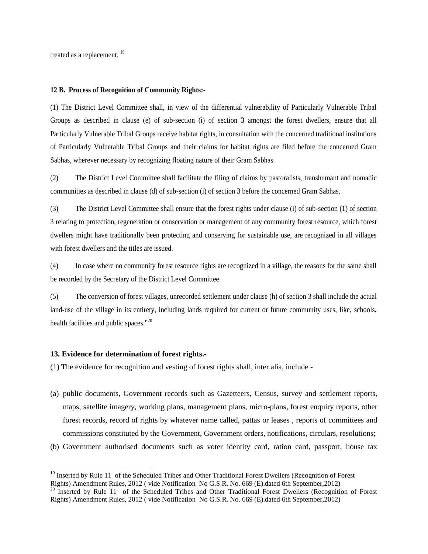treated as a replacement. <sup>19</sup>

#### **12 B. Process of Recognition of Community Rights:-**

(1) The District Level Committee shall, in view of the differential vulnerability of Particularly Vulnerable Tribal Groups as described in clause (e) of sub-section (i) of section 3 amongst the forest dwellers, ensure that all Particularly Vulnerable Tribal Groups receive habitat rights, in consultation with the concerned traditional institutions of Particularly Vulnerable Tribal Groups and their claims for habitat rights are filed before the concerned Gram Sabhas, wherever necessary by recognizing floating nature of their Gram Sabhas.

(2) The District Level Committee shall facilitate the filing of claims by pastoralists, transhumant and nomadic communities as described in clause (d) of sub-section (i) of section 3 before the concerned Gram Sabhas.

(3) The District Level Committee shall ensure that the forest rights under clause (i) of sub-section (1) of section 3 relating to protection, regeneration or conservation or management of any community forest resource, which forest dwellers might have traditionally been protecting and conserving for sustainable use, are recognized in all villages with forest dwellers and the titles are issued.

(4) In case where no community forest resource rights are recognized in a village, the reasons for the same shall be recorded by the Secretary of the District Level Committee.

(5) The conversion of forest villages, unrecorded settlement under clause (h) of section 3 shall include the actual land-use of the village in its entirety, including lands required for current or future community uses, like, schools, health facilities and public spaces."<sup>20</sup>

#### **13. Evidence for determination of forest rights.-**

(1) The evidence for recognition and vesting of forest rights shall, inter alia, include -

- (a) public documents, Government records such as Gazetteers, Census, survey and settlement reports, maps, satellite imagery, working plans, management plans, micro-plans, forest enquiry reports, other forest records, record of rights by whatever name called, pattas or leases , reports of committees and commissions constituted by the Government, Government orders, notifications, circulars, resolutions;
- (b) Government authorised documents such as voter identity card, ration card, passport, house tax

<sup>&</sup>lt;sup>19</sup> Inserted by Rule 11 of the Scheduled Tribes and Other Traditional Forest Dwellers (Recognition of Forest Rights) Amendment Rules, 2012 ( vide Notification No G.S.R. No. 669 (E).dated 6th September,2012)

<sup>&</sup>lt;sup>20</sup> Inserted by Rule 11 of the Scheduled Tribes and Other Traditional Forest Dwellers (Recognition of Forest Rights) Amendment Rules, 2012 ( vide Notification No G.S.R. No. 669 (E).dated 6th September,2012)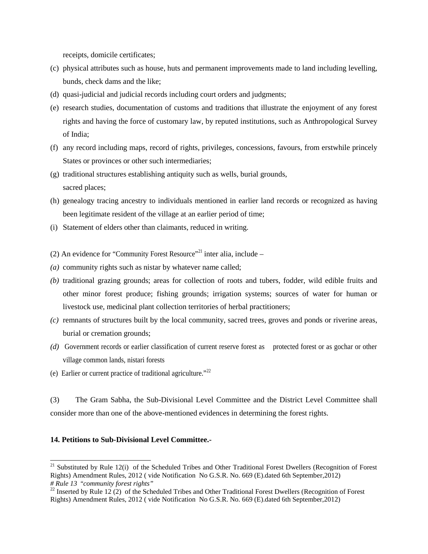receipts, domicile certificates;

- (c) physical attributes such as house, huts and permanent improvements made to land including levelling, bunds, check dams and the like;
- (d) quasi-judicial and judicial records including court orders and judgments;
- (e) research studies, documentation of customs and traditions that illustrate the enjoyment of any forest rights and having the force of customary law, by reputed institutions, such as Anthropological Survey of India;
- (f) any record including maps, record of rights, privileges, concessions, favours, from erstwhile princely States or provinces or other such intermediaries;
- (g) traditional structures establishing antiquity such as wells, burial grounds, sacred places;
- (h) genealogy tracing ancestry to individuals mentioned in earlier land records or recognized as having been legitimate resident of the village at an earlier period of time;
- (i) Statement of elders other than claimants, reduced in writing.
- (2) An evidence for "Community Forest Resource"<sup>21</sup> inter alia, include –
- *(a)* community rights such as nistar by whatever name called;
- *(b)* traditional grazing grounds; areas for collection of roots and tubers, fodder, wild edible fruits and other minor forest produce; fishing grounds; irrigation systems; sources of water for human or livestock use, medicinal plant collection territories of herbal practitioners;
- *(c)* remnants of structures built by the local community, sacred trees, groves and ponds or riverine areas, burial or cremation grounds;
- *(d)* Government records or earlier classification of current reserve forest as protected forest or as gochar or other village common lands, nistari forests
- (e) Earlier or current practice of traditional agriculture."<sup>22</sup>

(3) The Gram Sabha, the Sub-Divisional Level Committee and the District Level Committee shall consider more than one of the above-mentioned evidences in determining the forest rights.

#### **14. Petitions to Sub-Divisional Level Committee.-**

 $21$  Substituted by Rule 12(i) of the Scheduled Tribes and Other Traditional Forest Dwellers (Recognition of Forest Rights) Amendment Rules, 2012 ( vide Notification No G.S.R. No. 669 (E).dated 6th September,2012) *# Rule 13* "*community forest rights"*

<sup>&</sup>lt;sup>22</sup> Inserted by Rule 12 (2) of the Scheduled Tribes and Other Traditional Forest Dwellers (Recognition of Forest Rights) Amendment Rules, 2012 ( vide Notification No G.S.R. No. 669 (E).dated 6th September,2012)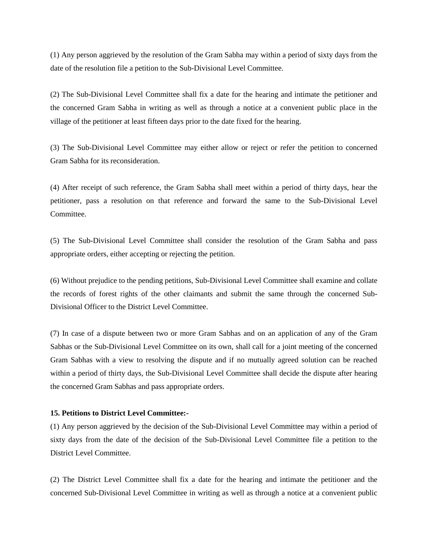(1) Any person aggrieved by the resolution of the Gram Sabha may within a period of sixty days from the date of the resolution file a petition to the Sub-Divisional Level Committee.

(2) The Sub-Divisional Level Committee shall fix a date for the hearing and intimate the petitioner and the concerned Gram Sabha in writing as well as through a notice at a convenient public place in the village of the petitioner at least fifteen days prior to the date fixed for the hearing.

(3) The Sub-Divisional Level Committee may either allow or reject or refer the petition to concerned Gram Sabha for its reconsideration.

(4) After receipt of such reference, the Gram Sabha shall meet within a period of thirty days, hear the petitioner, pass a resolution on that reference and forward the same to the Sub-Divisional Level Committee.

(5) The Sub-Divisional Level Committee shall consider the resolution of the Gram Sabha and pass appropriate orders, either accepting or rejecting the petition.

(6) Without prejudice to the pending petitions, Sub-Divisional Level Committee shall examine and collate the records of forest rights of the other claimants and submit the same through the concerned Sub- Divisional Officer to the District Level Committee.

(7) In case of a dispute between two or more Gram Sabhas and on an application of any of the Gram Sabhas or the Sub-Divisional Level Committee on its own, shall call for a joint meeting of the concerned Gram Sabhas with a view to resolving the dispute and if no mutually agreed solution can be reached within a period of thirty days, the Sub-Divisional Level Committee shall decide the dispute after hearing the concerned Gram Sabhas and pass appropriate orders.

#### **15. Petitions to District Level Committee:-**

(1) Any person aggrieved by the decision of the Sub-Divisional Level Committee may within a period of sixty days from the date of the decision of the Sub-Divisional Level Committee file a petition to the District Level Committee.

(2) The District Level Committee shall fix a date for the hearing and intimate the petitioner and the concerned Sub-Divisional Level Committee in writing as well as through a notice at a convenient public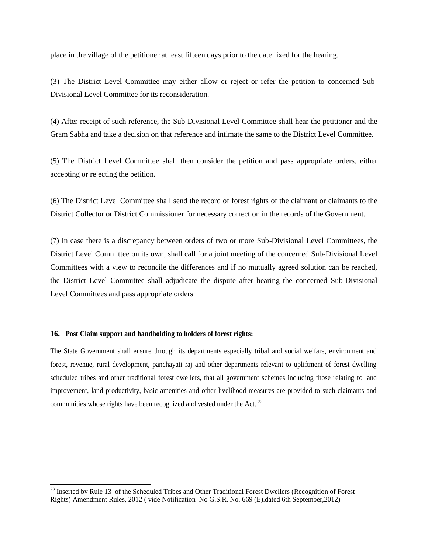place in the village of the petitioner at least fifteen days prior to the date fixed for the hearing.

(3) The District Level Committee may either allow or reject or refer the petition to concerned Sub- Divisional Level Committee for its reconsideration.

(4) After receipt of such reference, the Sub-Divisional Level Committee shall hear the petitioner and the Gram Sabha and take a decision on that reference and intimate the same to the District Level Committee.

(5) The District Level Committee shall then consider the petition and pass appropriate orders, either accepting or rejecting the petition.

(6) The District Level Committee shall send the record of forest rights of the claimant or claimants to the District Collector or District Commissioner for necessary correction in the records of the Government.

(7) In case there is a discrepancy between orders of two or more Sub-Divisional Level Committees, the District Level Committee on its own, shall call for a joint meeting of the concerned Sub-Divisional Level Committees with a view to reconcile the differences and if no mutually agreed solution can be reached, the District Level Committee shall adjudicate the dispute after hearing the concerned Sub-Divisional Level Committees and pass appropriate orders

#### **16. Post Claim support and handholding to holders of forest rights:**

The State Government shall ensure through its departments especially tribal and social welfare, environment and forest, revenue, rural development, panchayati raj and other departments relevant to upliftment of forest dwelling scheduled tribes and other traditional forest dwellers, that all government schemes including those relating to land improvement, land productivity, basic amenities and other livelihood measures are provided to such claimants and communities whose rights have been recognized and vested under the Act.<sup>23</sup>

<sup>&</sup>lt;sup>23</sup> Inserted by Rule 13 of the Scheduled Tribes and Other Traditional Forest Dwellers (Recognition of Forest Rights) Amendment Rules, 2012 ( vide Notification No G.S.R. No. 669 (E).dated 6th September,2012)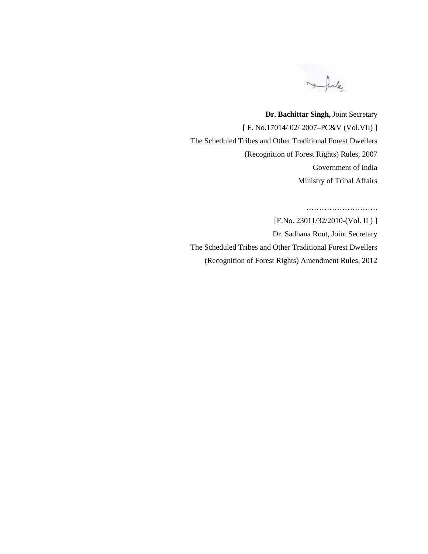me futa

**Dr. Bachittar Singh,** Joint Secretary [ F. No.17014/ 02/ 2007–PC&V (Vol.VII) ] The Scheduled Tribes and Other Traditional Forest Dwellers (Recognition of Forest Rights) Rules, 2007 Government of India Ministry of Tribal Affairs

……………………….

[F.No. 23011/32/2010-(Vol. II )]

Dr. Sadhana Rout, Joint Secretary The Scheduled Tribes and Other Traditional Forest Dwellers (Recognition of Forest Rights) Amendment Rules, 2012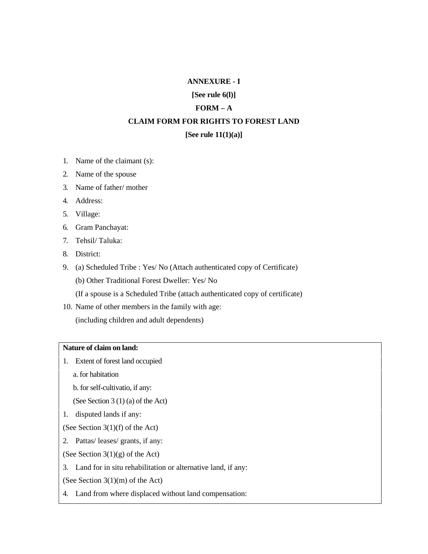#### **ANNEXURE - I**

**[See rule 6(l)]**

## **FORM – A**

# **CLAIM FORM FOR RIGHTS TO FOREST LAND**

#### **[See rule 11(1)(a)]**

- 1. Name of the claimant (s):
- 2. Name of the spouse
- 3. Name of father/ mother
- 4. Address:
- 5. Village:
- 6. Gram Panchayat:
- 7. Tehsil/ Taluka:
- 8. District:
- 9. (a) Scheduled Tribe : Yes/ No (Attach authenticated copy of Certificate) (b) Other Traditional Forest Dweller: Yes/ No
	- (If a spouse is a Scheduled Tribe (attach authenticated copy of certificate)
- 10. Name of other members in the family with age:
	- (including children and adult dependents)

# **Nature of claim on land:**

- 1. Extent of forest land occupied
	- a. for habitation
	- b. for self-cultivatio, if any:
	- (See Section 3 (1) (a) of the Act)
- 1. disputed lands if any:

(See Section 3(1)(f) of the Act)

- 2. Pattas/ leases/ grants, if any:
- (See Section  $3(1)(g)$  of the Act)
- 3. Land for in situ rehabilitation or alternative land, if any:
- (See Section 3(1)(m) of the Act)
- 4. Land from where displaced without land compensation: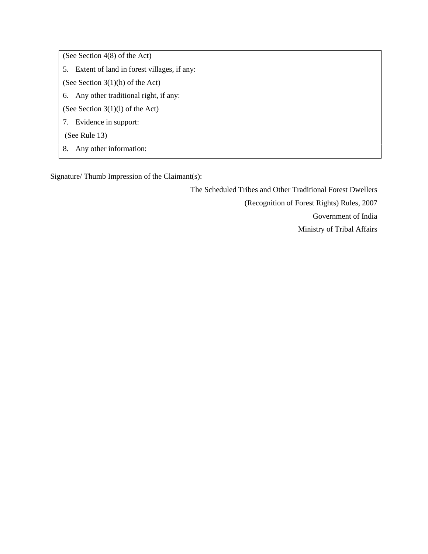(See Section 4(8) of the Act)

- 5. Extent of land in forest villages, if any:
- (See Section 3(1)(h) of the Act)
- 6. Any other traditional right, if any:
- (See Section 3(1)(l) of the Act)
- 7. Evidence in support:

(See Rule 13)

8. Any other information:

Signature/ Thumb Impression of the Claimant(s):

The Scheduled Tribes and Other Traditional Forest Dwellers

(Recognition of Forest Rights) Rules, 2007

Government of India

Ministry of Tribal Affairs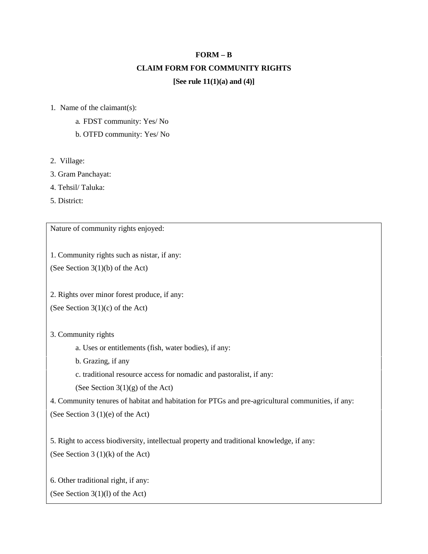# **FORM – B CLAIM FORM FOR COMMUNITY RIGHTS [See rule 11(1)(a) and (4)]**

- 1. Name of the claimant(s):
	- a. FDST community: Yes/ No
	- b. OTFD community: Yes/ No
- 2. Village:
- 3. Gram Panchayat:
- 4. Tehsil/ Taluka:
- 5. District:

Nature of community rights enjoyed:

1. Community rights such as nistar, if any:

(See Section 3(1)(b) of the Act)

2. Rights over minor forest produce, if any:

(See Section 3(1)(c) of the Act)

3. Community rights

- a. Uses or entitlements (fish, water bodies), if any:
- b. Grazing, if any
- c. traditional resource access for nomadic and pastoralist, if any:

(See Section  $3(1)(g)$  of the Act)

4. Community tenures of habitat and habitation for PTGs and pre-agricultural communities, if any: (See Section 3 (1)(e) of the Act)

5. Right to access biodiversity, intellectual property and traditional knowledge, if any: (See Section  $3(1)(k)$  of the Act)

6. Other traditional right, if any:

(See Section 3(1)(l) of the Act)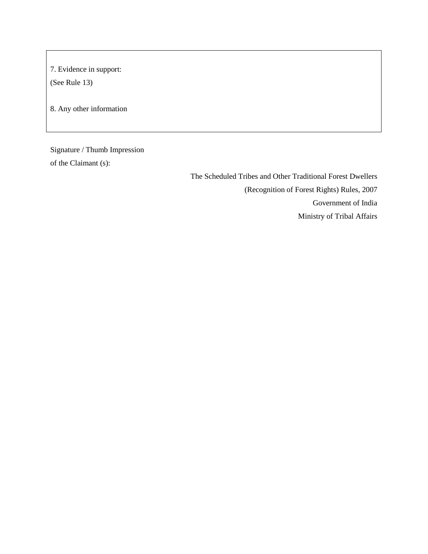7. Evidence in support:

(See Rule 13)

8. Any other information

Signature / Thumb Impression of the Claimant (s):

> The Scheduled Tribes and Other Traditional Forest Dwellers (Recognition of Forest Rights) Rules, 2007 Government of India Ministry of Tribal Affairs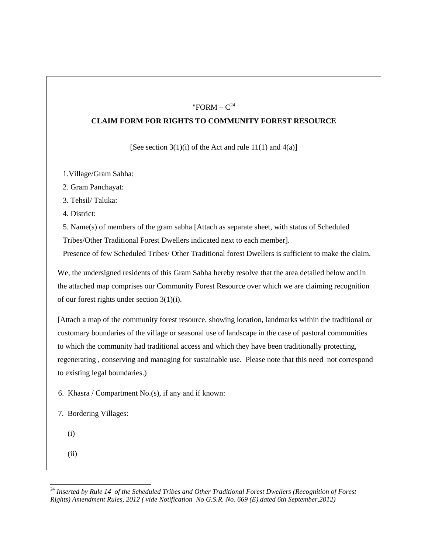# "FORM –  $C^{24}$

## **CLAIM FORM FOR RIGHTS TO COMMUNITY FOREST RESOURCE**

[See section  $3(1)(i)$  of the Act and rule  $11(1)$  and  $4(a)$ ]

1.Village/Gram Sabha:

2. Gram Panchayat:

3. Tehsil/ Taluka:

4. District:

5. Name(s) of members of the gram sabha [Attach as separate sheet, with status of Scheduled Tribes/Other Traditional Forest Dwellers indicated next to each member].

Presence of few Scheduled Tribes/ Other Traditional forest Dwellers is sufficient to make the claim.

We, the undersigned residents of this Gram Sabha hereby resolve that the area detailed below and in the attached map comprises our Community Forest Resource over which we are claiming recognition of our forest rights under section 3(1)(i).

[Attach a map of the community forest resource, showing location, landmarks within the traditional or customary boundaries of the village or seasonal use of landscape in the case of pastoral communities to which the community had traditional access and which they have been traditionally protecting, regenerating , conserving and managing for sustainable use. Please note that this need not correspond to existing legal boundaries.)

6. Khasra / Compartment No.(s), if any and if known:

7. Bordering Villages:

- (i)
- (ii)

<sup>24</sup> *Inserted by Rule 14 of the Scheduled Tribes and Other Traditional Forest Dwellers (Recognition of Forest Rights) Amendment Rules, 2012 ( vide Notification No G.S.R. No. 669 (E).dated 6th September,2012)*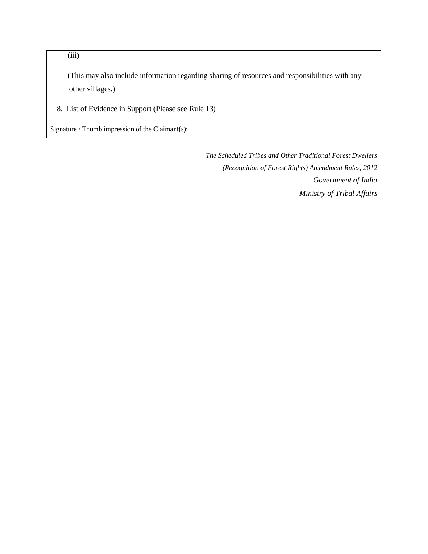(iii)

(This may also include information regarding sharing of resources and responsibilities with any other villages.)

8. List of Evidence in Support (Please see Rule 13)

Signature / Thumb impression of the Claimant(s):

*The Scheduled Tribes and Other Traditional Forest Dwellers (Recognition of Forest Rights) Amendment Rules, 2012 Government of India Ministry of Tribal Affairs*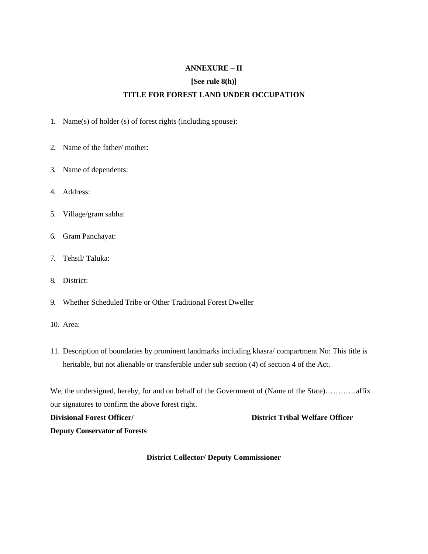# **ANNEXURE – II**

#### **[See rule 8(h)]**

# **TITLE FOR FOREST LAND UNDER OCCUPATION**

- 1. Name(s) of holder (s) of forest rights (including spouse):
- 2. Name of the father/ mother:
- 3. Name of dependents:
- 4. Address:
- 5. Village/gram sabha:
- 6. Gram Panchayat:
- 7. Tehsil/ Taluka:
- 8. District:
- 9. Whether Scheduled Tribe or Other Traditional Forest Dweller
- 10. Area:
- 11. Description of boundaries by prominent landmarks including khasra/ compartment No: This title is heritable, but not alienable or transferable under sub section (4) of section 4 of the Act.

We, the undersigned, hereby, for and on behalf of the Government of (Name of the State)…………affix our signatures to confirm the above forest right.

**Divisional Forest Officer/ District Tribal Welfare Officer Deputy Conservator of Forests**

#### **District Collector/ Deputy Commissioner**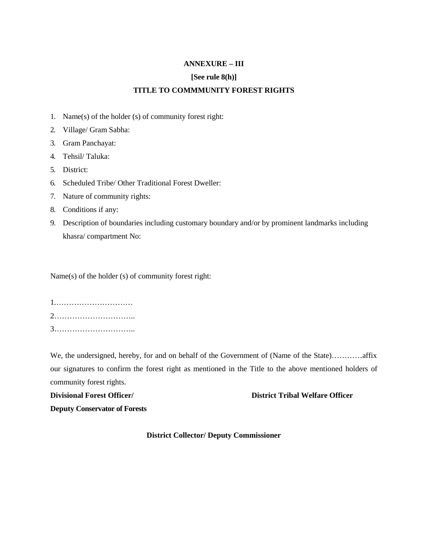# **ANNEXURE – III**

#### **[See rule 8(h)]**

# **TITLE TO COMMMUNITY FOREST RIGHTS**

- 1. Name(s) of the holder (s) of community forest right:
- 2. Village/ Gram Sabha:
- 3. Gram Panchayat:
- 4. Tehsil/ Taluka:
- 5. District:
- 6. Scheduled Tribe/ Other Traditional Forest Dweller:
- 7. Nature of community rights:
- 8. Conditions if any:
- 9. Description of boundaries including customary boundary and/or by prominent landmarks including khasra/ compartment No:

Name(s) of the holder (s) of community forest right:

1.………………………… 2………………………….. 3…………………………..

We, the undersigned, hereby, for and on behalf of the Government of (Name of the State)…………affix our signatures to confirm the forest right as mentioned in the Title to the above mentioned holders of community forest rights.

#### **Divisional Forest Officer/ District Tribal Welfare Officer**

**Deputy Conservator of Forests**

#### **District Collector/ Deputy Commissioner**